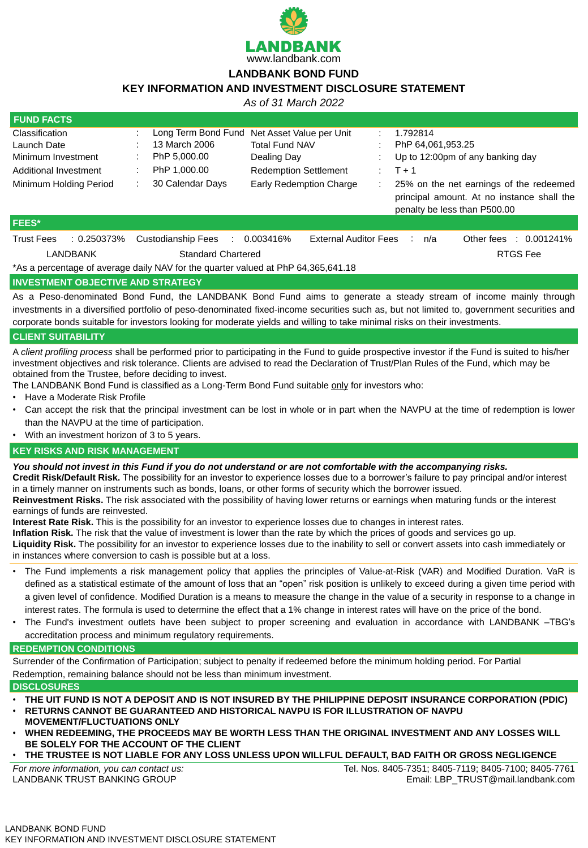

# **LANDBANK BOND FUND**

# **KEY INFORMATION AND INVESTMENT DISCLOSURE STATEMENT**

*As of 31 March 2022*

| <b>FUND FACTS</b>                                                                 |                |  |                                |                                |  |                              |                                                                                                                       |                   |                        |  |
|-----------------------------------------------------------------------------------|----------------|--|--------------------------------|--------------------------------|--|------------------------------|-----------------------------------------------------------------------------------------------------------------------|-------------------|------------------------|--|
| <b>Classification</b>                                                             |                |  | Long Term Bond Fund            | Net Asset Value per Unit       |  | ÷                            | 1.792814                                                                                                              |                   |                        |  |
| <b>Launch Date</b>                                                                |                |  | 13 March 2006                  | <b>Total Fund NAV</b>          |  |                              |                                                                                                                       | PhP 64,061,953.25 |                        |  |
| Minimum Investment                                                                |                |  | PhP 5,000.00                   | Dealing Day                    |  |                              | Up to 12:00pm of any banking day                                                                                      |                   |                        |  |
| Additional Investment                                                             |                |  | PhP 1,000.00                   | <b>Redemption Settlement</b>   |  |                              | $T + 1$                                                                                                               |                   |                        |  |
| Minimum Holding Period                                                            |                |  | 30 Calendar Days               | <b>Early Redemption Charge</b> |  |                              | 25% on the net earnings of the redeemed<br>principal amount. At no instance shall the<br>penalty be less than P500.00 |                   |                        |  |
| <b>FEES*</b>                                                                      |                |  |                                |                                |  |                              |                                                                                                                       |                   |                        |  |
| <b>Trust Fees</b>                                                                 | $: 0.250373\%$ |  | <b>Custodianship Fees</b><br>÷ | 0.003416%                      |  | <b>External Auditor Fees</b> |                                                                                                                       | n/a<br>$\sim 10$  | Other fees : 0.001241% |  |
| <b>LANDBANK</b>                                                                   |                |  | <b>Standard Chartered</b>      |                                |  |                              |                                                                                                                       |                   | <b>RTGS Fee</b>        |  |
| *As a percentage of average daily NAV for the quarter valued at PhP 64,365,641.18 |                |  |                                |                                |  |                              |                                                                                                                       |                   |                        |  |

### **INVESTMENT OBJECTIVE AND STRATEGY**

As a Peso-denominated Bond Fund, the LANDBANK Bond Fund aims to generate a steady stream of income mainly through investments in a diversified portfolio of peso-denominated fixed-income securities such as, but not limited to, government securities and corporate bonds suitable for investors looking for moderate yields and willing to take minimal risks on their investments.

### **CLIENT SUITABILITY**

A *client profiling process* shall be performed prior to participating in the Fund to guide prospective investor if the Fund is suited to his/her investment objectives and risk tolerance. Clients are advised to read the Declaration of Trust/Plan Rules of the Fund, which may be obtained from the Trustee, before deciding to invest.

The LANDBANK Bond Fund is classified as a Long-Term Bond Fund suitable only for investors who:

- Have a Moderate Risk Profile
- Can accept the risk that the principal investment can be lost in whole or in part when the NAVPU at the time of redemption is lower than the NAVPU at the time of participation.
- With an investment horizon of 3 to 5 years.

#### **KEY RISKS AND RISK MANAGEMENT**

### *You should not invest in this Fund if you do not understand or are not comfortable with the accompanying risks.*

**Credit Risk/Default Risk.** The possibility for an investor to experience losses due to a borrower's failure to pay principal and/or interest in a timely manner on instruments such as bonds, loans, or other forms of security which the borrower issued.

**Reinvestment Risks.** The risk associated with the possibility of having lower returns or earnings when maturing funds or the interest earnings of funds are reinvested.

**Interest Rate Risk.** This is the possibility for an investor to experience losses due to changes in interest rates.

**Inflation Risk.** The risk that the value of investment is lower than the rate by which the prices of goods and services go up.

**Liquidity Risk.** The possibility for an investor to experience losses due to the inability to sell or convert assets into cash immediately or in instances where conversion to cash is possible but at a loss.

- The Fund implements a risk management policy that applies the principles of Value-at-Risk (VAR) and Modified Duration. VaR is defined as a statistical estimate of the amount of loss that an "open" risk position is unlikely to exceed during a given time period with a given level of confidence. Modified Duration is a means to measure the change in the value of a security in response to a change in interest rates. The formula is used to determine the effect that a 1% change in interest rates will have on the price of the bond.
- The Fund's investment outlets have been subject to proper screening and evaluation in accordance with LANDBANK –TBG's accreditation process and minimum regulatory requirements.

#### **REDEMPTION CONDITIONS**

Surrender of the Confirmation of Participation; subject to penalty if redeemed before the minimum holding period. For Partial Redemption, remaining balance should not be less than minimum investment.

#### **DISCLOSURES**

- **THE UIT FUND IS NOT A DEPOSIT AND IS NOT INSURED BY THE PHILIPPINE DEPOSIT INSURANCE CORPORATION (PDIC)**
- **RETURNS CANNOT BE GUARANTEED AND HISTORICAL NAVPU IS FOR ILLUSTRATION OF NAVPU MOVEMENT/FLUCTUATIONS ONLY**
- **WHEN REDEEMING, THE PROCEEDS MAY BE WORTH LESS THAN THE ORIGINAL INVESTMENT AND ANY LOSSES WILL BE SOLELY FOR THE ACCOUNT OF THE CLIENT**
- **THE TRUSTEE IS NOT LIABLE FOR ANY LOSS UNLESS UPON WILLFUL DEFAULT, BAD FAITH OR GROSS NEGLIGENCE**

*For more information, you can contact us:* LANDBANK TRUST BANKING GROUP

Tel. Nos. 8405-7351; 8405-7119; 8405-7100; 8405-7761 Email: LBP\_TRUST@mail.landbank.com